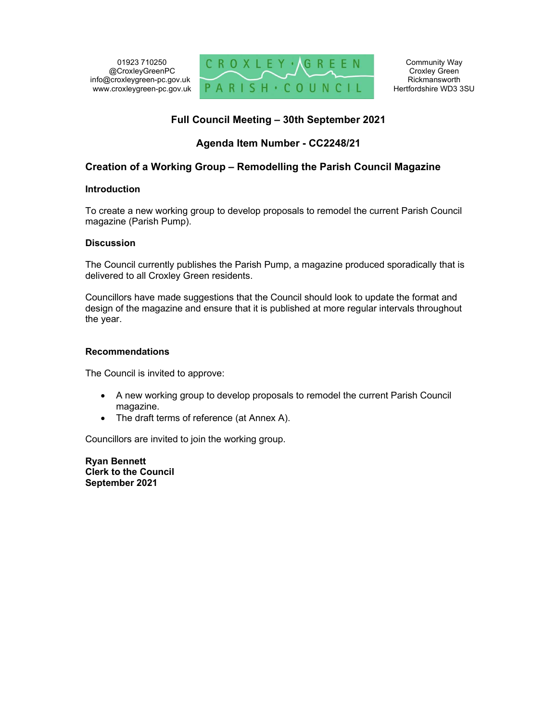

# Full Council Meeting – 30th September 2021

# Agenda Item Number - CC2248/21

## Creation of a Working Group – Remodelling the Parish Council Magazine

## Introduction

To create a new working group to develop proposals to remodel the current Parish Council magazine (Parish Pump).

## **Discussion**

The Council currently publishes the Parish Pump, a magazine produced sporadically that is delivered to all Croxley Green residents.

Councillors have made suggestions that the Council should look to update the format and design of the magazine and ensure that it is published at more regular intervals throughout the year.

## Recommendations

The Council is invited to approve:

- A new working group to develop proposals to remodel the current Parish Council magazine.
- The draft terms of reference (at Annex A).

Councillors are invited to join the working group.

Ryan Bennett Clerk to the Council September 2021